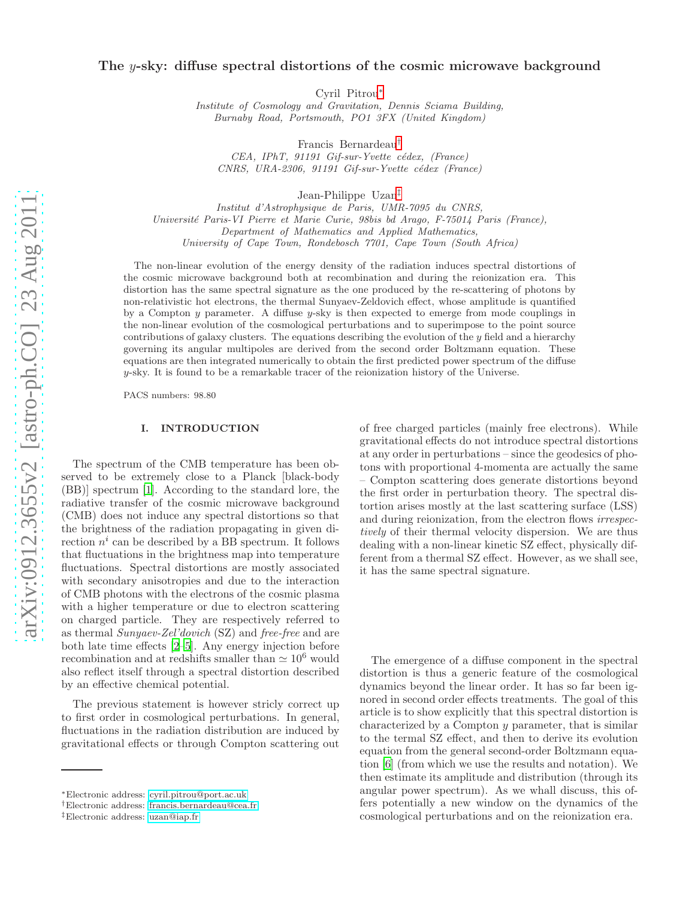# The y-sky: diffuse spectral distortions of the cosmic microwave background

Cyril Pitrou[∗](#page-0-0)

Institute of Cosmology and Gravitation, Dennis Sciama Building, Burnaby Road, Portsmouth, PO1 3FX (United Kingdom)

Francis Bernardeau[†](#page-0-1)

CEA, IPhT, 91191 Gif-sur-Yvette cédex, (France) CNRS, URA-2306, 91191 Gif-sur-Yvette cédex (France)

Jean-Philippe Uzan[‡](#page-0-2)

Institut d'Astrophysique de Paris, UMR-7095 du CNRS, Université Paris-VI Pierre et Marie Curie, 98bis bd Arago, F-75014 Paris (France), Department of Mathematics and Applied Mathematics, University of Cape Town, Rondebosch 7701, Cape Town (South Africa)

The non-linear evolution of the energy density of the radiation induces spectral distortions of the cosmic microwave background both at recombination and during the reionization era. This distortion has the same spectral signature as the one produced by the re-scattering of photons by non-relativistic hot electrons, the thermal Sunyaev-Zeldovich effect, whose amplitude is quantified by a Compton  $y$  parameter. A diffuse  $y$ -sky is then expected to emerge from mode couplings in the non-linear evolution of the cosmological perturbations and to superimpose to the point source contributions of galaxy clusters. The equations describing the evolution of the y field and a hierarchy governing its angular multipoles are derived from the second order Boltzmann equation. These equations are then integrated numerically to obtain the first predicted power spectrum of the diffuse y-sky. It is found to be a remarkable tracer of the reionization history of the Universe.

PACS numbers: 98.80

## I. INTRODUCTION

The spectrum of the CMB temperature has been observed to be extremely close to a Planck [black-body (BB)] spectrum [\[1\]](#page-4-0). According to the standard lore, the radiative transfer of the cosmic microwave background (CMB) does not induce any spectral distortions so that the brightness of the radiation propagating in given direction  $n^i$  can be described by a BB spectrum. It follows that fluctuations in the brightness map into temperature fluctuations. Spectral distortions are mostly associated with secondary anisotropies and due to the interaction of CMB photons with the electrons of the cosmic plasma with a higher temperature or due to electron scattering on charged particle. They are respectively referred to as thermal Sunyaev-Zel'dovich (SZ) and free-free and are both late time effects [\[2](#page-4-1)[–5\]](#page-4-2). Any energy injection before recombination and at redshifts smaller than  $\simeq 10^6$  would also reflect itself through a spectral distortion described by an effective chemical potential.

The previous statement is however stricly correct up to first order in cosmological perturbations. In general, fluctuations in the radiation distribution are induced by gravitational effects or through Compton scattering out

of free charged particles (mainly free electrons). While gravitational effects do not introduce spectral distortions at any order in perturbations – since the geodesics of photons with proportional 4-momenta are actually the same – Compton scattering does generate distortions beyond the first order in perturbation theory. The spectral distortion arises mostly at the last scattering surface (LSS) and during reionization, from the electron flows irrespectively of their thermal velocity dispersion. We are thus dealing with a non-linear kinetic SZ effect, physically different from a thermal SZ effect. However, as we shall see, it has the same spectral signature.

The emergence of a diffuse component in the spectral distortion is thus a generic feature of the cosmological dynamics beyond the linear order. It has so far been ignored in second order effects treatments. The goal of this article is to show explicitly that this spectral distortion is characterized by a Compton y parameter, that is similar to the termal SZ effect, and then to derive its evolution equation from the general second-order Boltzmann equation [\[6\]](#page-4-3) (from which we use the results and notation). We then estimate its amplitude and distribution (through its angular power spectrum). As we whall discuss, this offers potentially a new window on the dynamics of the cosmological perturbations and on the reionization era.

<span id="page-0-0"></span><sup>∗</sup>Electronic address: [cyril.pitrou@port.ac.uk](mailto:cyril.pitrou@port.ac.uk)

<span id="page-0-1"></span><sup>†</sup>Electronic address: [francis.bernardeau@cea.fr](mailto:francis.bernardeau@cea.fr)

<span id="page-0-2"></span><sup>‡</sup>Electronic address: [uzan@iap.fr](mailto:uzan@iap.fr)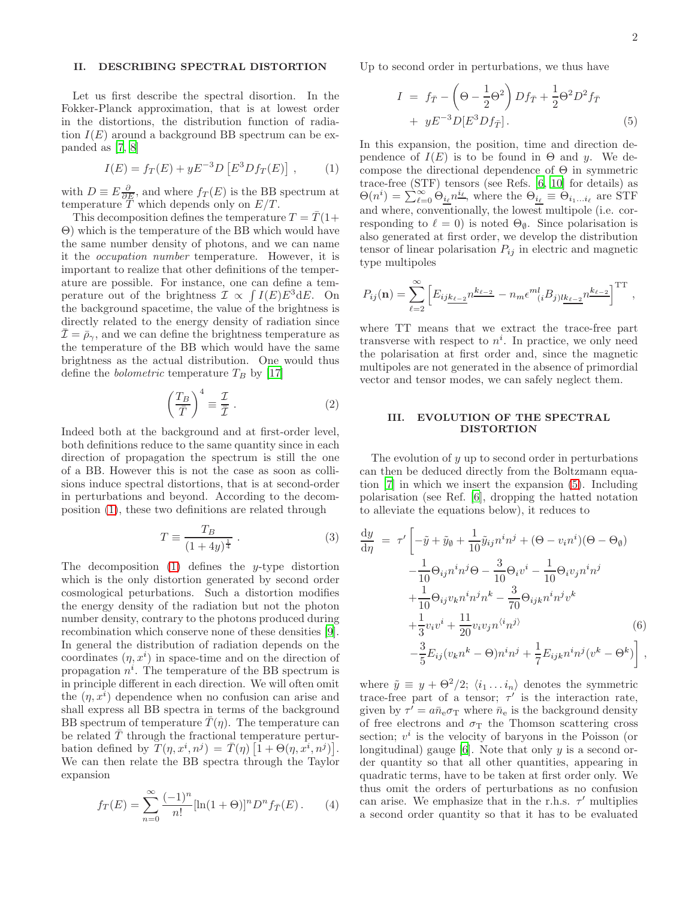## II. DESCRIBING SPECTRAL DISTORTION

Let us first describe the spectral disortion. In the Fokker-Planck approximation, that is at lowest order in the distortions, the distribution function of radiation  $I(E)$  around a background BB spectrum can be expanded as [\[7,](#page-4-4) [8\]](#page-4-5)

<span id="page-1-0"></span>
$$
I(E) = f_T(E) + yE^{-3}D[E^3Df_T(E)],
$$
 (1)

with  $D \equiv E \frac{\partial}{\partial E}$ , and where  $f_T(E)$  is the BB spectrum at temperature  $\tilde{T}$  which depends only on  $E/T$ .

This decomposition defines the temperature  $T = T(1+)$ Θ) which is the temperature of the BB which would have the same number density of photons, and we can name it the occupation number temperature. However, it is important to realize that other definitions of the temperature are possible. For instance, one can define a temperature out of the brightness  $\mathcal{I} \propto \int I(E) E^3 dE$ . On the background spacetime, the value of the brightness is directly related to the energy density of radiation since  $\bar{\mathcal{I}} = \bar{\rho}_{\gamma}$ , and we can define the brightness temperature as the temperature of the BB which would have the same brightness as the actual distribution. One would thus define the *bolometric* temperature  $T_B$  by [\[17](#page-4-6)]

$$
\left(\frac{T_B}{\bar{T}}\right)^4 \equiv \frac{\mathcal{I}}{\bar{\mathcal{I}}} \,. \tag{2}
$$

Indeed both at the background and at first-order level, both definitions reduce to the same quantity since in each direction of propagation the spectrum is still the one of a BB. However this is not the case as soon as collisions induce spectral distortions, that is at second-order in perturbations and beyond. According to the decomposition [\(1\)](#page-1-0), these two definitions are related through

$$
T \equiv \frac{T_B}{(1+4y)^{\frac{1}{4}}} \,. \tag{3}
$$

The decomposition  $(1)$  defines the y-type distortion which is the only distortion generated by second order cosmological peturbations. Such a distortion modifies the energy density of the radiation but not the photon number density, contrary to the photons produced during recombination which conserve none of these densities [\[9\]](#page-4-7). In general the distribution of radiation depends on the coordinates  $(\eta, x^i)$  in space-time and on the direction of propagation  $n^i$ . The temperature of the BB spectrum is in principle different in each direction. We will often omit the  $(\eta, x^i)$  dependence when no confusion can arise and shall express all BB spectra in terms of the background BB spectrum of temperature  $\bar{T}(\eta)$ . The temperature can be related  $\overline{T}$  through the fractional temperature perturbation defined by  $\overline{T}(\eta, x^i, n^j) = \overline{T}(\eta) [\overline{1} + \Theta(\eta, x^i, n^j)].$ We can then relate the BB spectra through the Taylor expansion

$$
f_T(E) = \sum_{n=0}^{\infty} \frac{(-1)^n}{n!} [\ln(1+\Theta)]^n D^n f_{\overline{T}}(E).
$$
 (4)

Up to second order in perturbations, we thus have

<span id="page-1-1"></span>
$$
I = f_{\bar{T}} - \left(\Theta - \frac{1}{2}\Theta^2\right)Df_{\bar{T}} + \frac{1}{2}\Theta^2 D^2 f_{\bar{T}} + yE^{-3}D[E^3 D f_{\bar{T}}].
$$
\n(5)

In this expansion, the position, time and direction dependence of  $I(E)$  is to be found in  $\Theta$  and y. We decompose the directional dependence of  $\Theta$  in symmetric trace-free (STF) tensors (see Refs. [\[6](#page-4-3), [10\]](#page-4-8) for details) as  $\Theta(n^i) = \sum_{\ell=0}^{\infty} \Theta_{i_{\ell}} n^i_{\ell}$ , where the  $\Theta_{i_{\ell}} \equiv \Theta_{i_1...i_{\ell}}$  are STF and where, conventionally, the lowest multipole (i.e. corresponding to  $\ell = 0$ ) is noted  $\Theta_{\emptyset}$ . Since polarisation is also generated at first order, we develop the distribution tensor of linear polarisation  $P_{ij}$  in electric and magnetic type multipoles

$$
P_{ij}(\mathbf{n}) = \sum_{\ell=2}^{\infty} \left[ E_{ij\underline{k}_{\ell-2}} n^{\underline{k}_{\ell-2}} - n_m \epsilon^{ml}_{(i} B_{j)l\underline{k}_{\ell-2}} n^{\underline{k}_{\ell-2}} \right]^{\text{TT}},
$$

where TT means that we extract the trace-free part transverse with respect to  $n^i$ . In practice, we only need the polarisation at first order and, since the magnetic multipoles are not generated in the absence of primordial vector and tensor modes, we can safely neglect them.

## III. EVOLUTION OF THE SPECTRAL DISTORTION

The evolution of  $y$  up to second order in perturbations can then be deduced directly from the Boltzmann equation [\[7\]](#page-4-4) in which we insert the expansion [\(5\)](#page-1-1). Including polarisation (see Ref. [\[6\]](#page-4-3), dropping the hatted notation to alleviate the equations below), it reduces to

<span id="page-1-2"></span>
$$
\frac{dy}{d\eta} = \tau' \left[ -\tilde{y} + \tilde{y}_{\emptyset} + \frac{1}{10} \tilde{y}_{ij} n^i n^j + (\Theta - v_i n^i)(\Theta - \Theta_{\emptyset}) -\frac{1}{10} \Theta_{ij} n^i n^j \Theta - \frac{3}{10} \Theta_i v^i - \frac{1}{10} \Theta_i v_j n^i n^j + \frac{1}{10} \Theta_{ij} v_k n^i n^j n^k - \frac{3}{70} \Theta_{ijk} n^i n^j v^k + \frac{1}{3} v_i v^i + \frac{11}{20} v_i v_j n^{\langle i} n^j \rangle \right]
$$
\n(6)\n
$$
- \frac{3}{5} E_{ij} (v_k n^k - \Theta) n^i n^j + \frac{1}{7} E_{ijk} n^i n^j (v^k - \Theta^k) \right],
$$

where  $\tilde{y} \equiv y + \Theta^2/2$ ;  $\langle i_1 \dots i_n \rangle$  denotes the symmetric trace-free part of a tensor;  $\tau'$  is the interaction rate, given by  $\tau' = a\bar{n}_{e}\sigma_{T}$  where  $\bar{n}_{e}$  is the background density of free electrons and  $\sigma_T$  the Thomson scattering cross section;  $v^i$  is the velocity of baryons in the Poisson (or longitudinal) gauge [\[6](#page-4-3)]. Note that only  $y$  is a second order quantity so that all other quantities, appearing in quadratic terms, have to be taken at first order only. We thus omit the orders of perturbations as no confusion can arise. We emphasize that in the r.h.s.  $\tau'$  multiplies a second order quantity so that it has to be evaluated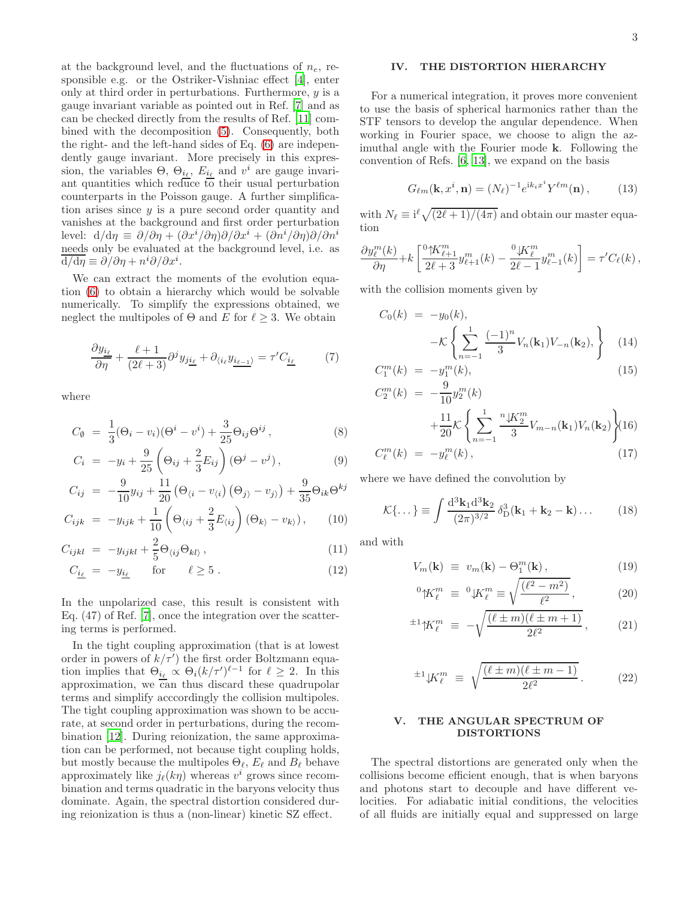at the background level, and the fluctuations of  $n_e$ , responsible e.g. or the Ostriker-Vishniac effect [\[4](#page-4-9)], enter only at third order in perturbations. Furthermore,  $y$  is a gauge invariant variable as pointed out in Ref. [\[7](#page-4-4)] and as can be checked directly from the results of Ref. [\[11\]](#page-4-10) combined with the decomposition [\(5\)](#page-1-1). Consequently, both the right- and the left-hand sides of Eq. [\(6\)](#page-1-2) are independently gauge invariant. More precisely in this expression, the variables  $\Theta$ ,  $\Theta_{i_{\ell}}$ ,  $E_{i_{\ell}}$  and  $v^{i}$  are gauge invariant quantities which reduce to their usual perturbation counterparts in the Poisson gauge. A further simplification arises since  $y$  is a pure second order quantity and vanishes at the background and first order perturbation level:  $d/d\eta \equiv \partial/\partial \eta + (\partial x^i/\partial \eta)\partial/\partial x^i + (\partial n^i/\partial \eta)\partial/\partial n^i$ needs only be evaluated at the background level, i.e. as  $\overline{\mathrm{d}/\mathrm{d}\eta} \equiv \partial/\partial \eta + n^i \partial/\partial x^i.$ 

We can extract the moments of the evolution equation [\(6\)](#page-1-2) to obtain a hierarchy which would be solvable numerically. To simplify the expressions obtained, we neglect the multipoles of  $\Theta$  and E for  $\ell \geq 3$ . We obtain

$$
\frac{\partial y_{i_{\ell}}}{\partial \eta} + \frac{\ell+1}{(2\ell+3)} \partial^j y_{j\underline{i_{\ell}}} + \partial_{\langle i_{\ell}} y_{\underline{i_{\ell-1}} \rangle} = \tau' C_{\underline{i_{\ell}}} \tag{7}
$$

where

$$
C_{\emptyset} = \frac{1}{3}(\Theta_i - v_i)(\Theta^i - v^i) + \frac{3}{25}\Theta_{ij}\Theta^{ij},
$$
\n(8)

$$
C_i = -y_i + \frac{9}{25} \left( \Theta_{ij} + \frac{2}{3} E_{ij} \right) (\Theta^j - v^j), \tag{9}
$$

$$
C_{ij} = -\frac{9}{10}y_{ij} + \frac{11}{20}(\Theta_{\langle i} - v_{\langle i \rangle}(\Theta_{j} - v_{j} \rangle) + \frac{9}{35}\Theta_{ik}\Theta^{kj}
$$

$$
C_{ijk} = -y_{ijk} + \frac{1}{10} \left( \Theta_{\langle ij} + \frac{2}{3} E_{\langle ij} \right) \left( \Theta_{k} \right) - v_{k} \right), \quad (10)
$$

$$
C_{ijkl} = -y_{ijkl} + \frac{2}{5} \Theta_{\langle ij} \Theta_{kl \rangle}, \qquad (11)
$$

$$
C_{\underline{i_\ell}} = -y_{\underline{i_\ell}} \qquad \text{for} \qquad \ell \ge 5 \ . \tag{12}
$$

In the unpolarized case, this result is consistent with Eq. (47) of Ref. [\[7](#page-4-4)], once the integration over the scattering terms is performed.

In the tight coupling approximation (that is at lowest order in powers of  $k/\tau'$  the first order Boltzmann equation implies that  $\Theta_{i_{\ell}} \propto \Theta_i (k/\tau')^{\ell-1}$  for  $\ell \geq 2$ . In this approximation, we can thus discard these quadrupolar terms and simplify acccordingly the collision multipoles. The tight coupling approximation was shown to be accurate, at second order in perturbations, during the recombination [\[12](#page-4-11)]. During reionization, the same approximation can be performed, not because tight coupling holds, but mostly because the multipoles  $\Theta_{\ell}$ ,  $E_{\ell}$  and  $B_{\ell}$  behave approximately like  $j_{\ell}(k\eta)$  whereas  $v^i$  grows since recombination and terms quadratic in the baryons velocity thus dominate. Again, the spectral distortion considered during reionization is thus a (non-linear) kinetic SZ effect.

### IV. THE DISTORTION HIERARCHY

For a numerical integration, it proves more convenient to use the basis of spherical harmonics rather than the STF tensors to develop the angular dependence. When working in Fourier space, we choose to align the azimuthal angle with the Fourier mode k. Following the convention of Refs. [\[6,](#page-4-3) [13\]](#page-4-12), we expand on the basis

<span id="page-2-0"></span>
$$
G_{\ell m}(\mathbf{k}, x^i, \mathbf{n}) = (N_\ell)^{-1} e^{\mathrm{i}k_i x^i} Y^{\ell m}(\mathbf{n}), \qquad (13)
$$

with  $N_{\ell} \equiv i^{\ell} \sqrt{(2\ell+1)/(4\pi)}$  and obtain our master equation

$$
\frac{\partial y_{\ell}^{m}(k)}{\partial \eta} + k \left[ \frac{\partial \gamma K_{\ell+1}^{m}}{2\ell+3} y_{\ell+1}^{m}(k) - \frac{\partial \gamma K_{\ell}^{m}}{2\ell-1} y_{\ell-1}^{m}(k) \right] = \tau^{'} C_{\ell}(k) ,
$$

with the collision moments given by

$$
C_0(k) = -y_0(k),
$$
  

$$
-\mathcal{K}\left\{\sum_{n=-1}^1 \frac{(-1)^n}{3} V_n(\mathbf{k}_1) V_{-n}(\mathbf{k}_2),\right\}
$$
(14)  

$$
C_1^m(k) = -y_1^m(k),
$$
(15)

$$
C_2^m(k) = -\frac{9}{10}y_2^m(k)
$$
  
 
$$
+\frac{11}{20}\mathcal{K}\left\{\sum_{n=-1}^1 \frac{n_kK_2^m}{3}V_{m-n}(\mathbf{k}_1)V_n(\mathbf{k}_2)\right\} (16)
$$
  
\n
$$
C_\ell^m(k) = -y_\ell^m(k), \qquad (17)
$$

where we have defined the convolution by

$$
\mathcal{K}\{\dots\} \equiv \int \frac{\mathrm{d}^3 \mathbf{k}_1 \mathrm{d}^3 \mathbf{k}_2}{(2\pi)^{3/2}} \,\delta^3_{\mathrm{D}}(\mathbf{k}_1 + \mathbf{k}_2 - \mathbf{k})\dots \qquad (18)
$$

and with

$$
V_m(\mathbf{k}) \equiv v_m(\mathbf{k}) - \Theta_1^m(\mathbf{k}), \qquad (19)
$$

$$
{}^{0}\uparrow K_{\ell}^{m} \equiv {}^{0}\downarrow K_{\ell}^{m} \equiv \sqrt{\frac{(\ell^{2}-m^{2})}{\ell^{2}}},
$$
 (20)

$$
^{\pm 1}\mathcal{K}_{\ell}^{m} \equiv -\sqrt{\frac{(\ell \pm m)(\ell \pm m + 1)}{2\ell^2}}, \qquad (21)
$$

$$
\pm 1 \downarrow K_\ell^m \equiv \sqrt{\frac{(\ell \pm m)(\ell \pm m - 1)}{2\ell^2}}.
$$
 (22)

#### V. THE ANGULAR SPECTRUM OF DISTORTIONS

The spectral distortions are generated only when the collisions become efficient enough, that is when baryons and photons start to decouple and have different velocities. For adiabatic initial conditions, the velocities of all fluids are initially equal and suppressed on large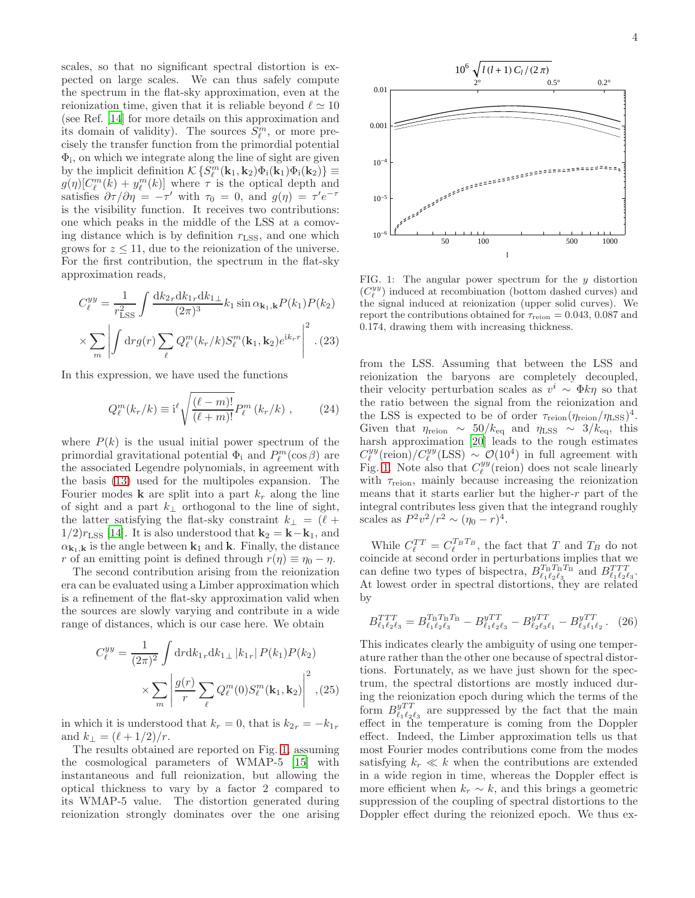scales, so that no significant spectral distortion is expected on large scales. We can thus safely compute the spectrum in the flat-sky approximation, even at the reionization time, given that it is reliable beyond  $\ell \simeq 10$ (see Ref. [\[14](#page-4-13)] for more details on this approximation and its domain of validity). The sources  $S_{\ell}^{m}$ , or more precisely the transfer function from the primordial potential  $\Phi_i$ , on which we integrate along the line of sight are given by the implicit definition  $\mathcal{K}\left\{S_\ell^m(\mathbf{k}_1, \mathbf{k}_2)\Phi_i(\mathbf{k}_1)\Phi_i(\mathbf{k}_2)\right\} \equiv$  $g(\eta)[C_{\ell}^{m}(k) + y_{\ell}^{m}(k)]$  where  $\tau$  is the optical depth and satisfies  $\partial \tau / \partial \eta = -\tau'$  with  $\tau_0 = 0$ , and  $g(\eta) = \tau' e^{-\tau}$ is the visibility function. It receives two contributions: one which peaks in the middle of the LSS at a comoving distance which is by definition  $r_{\text{LSS}}$ , and one which grows for  $z \leq 11$ , due to the reionization of the universe. For the first contribution, the spectrum in the flat-sky approximation reads,

$$
C_{\ell}^{yy} = \frac{1}{r_{\text{LSS}}^2} \int \frac{dk_{2r} dk_{1r} dk_{1\perp}}{(2\pi)^3} k_1 \sin \alpha_{\mathbf{k}_1, \mathbf{k}} P(k_1) P(k_2)
$$

$$
\times \sum_{m} \left| \int \mathrm{d}r g(r) \sum_{\ell} Q_{\ell}^{m}(k_r/k) S_{\ell}^{m}(\mathbf{k}_1, \mathbf{k}_2) e^{\mathrm{i}k_r r} \right|^2. (23)
$$

In this expression, we have used the functions

$$
Q_{\ell}^{m}(k_{r}/k) \equiv \mathrm{i}^{\ell} \sqrt{\frac{(\ell-m)!}{(\ell+m)!}} P_{\ell}^{m}(k_{r}/k) , \qquad (24)
$$

where  $P(k)$  is the usual initial power spectrum of the primordial gravitational potential  $\Phi_i$  and  $P_\ell^m(\cos \beta)$  are the associated Legendre polynomials, in agreement with the basis [\(13\)](#page-2-0) used for the multipoles expansion. The Fourier modes **k** are split into a part  $k_r$  along the line of sight and a part  $k_{\perp}$  orthogonal to the line of sight, the latter satisfying the flat-sky constraint  $k_{\perp} = (\ell +$  $1/2)r$ <sub>LSS</sub> [\[14\]](#page-4-13). It is also understood that  $\mathbf{k}_2 = \mathbf{k} - \mathbf{k}_1$ , and  $\alpha_{\mathbf{k}_1,\mathbf{k}}$  is the angle between  $\mathbf{k}_1$  and  $\mathbf{k}$ . Finally, the distance r of an emitting point is defined through  $r(\eta) \equiv \eta_0 - \eta$ .

The second contribution arising from the reionization era can be evaluated using a Limber approximation which is a refinement of the flat-sky approximation valid when the sources are slowly varying and contribute in a wide range of distances, which is our case here. We obtain

$$
C_{\ell}^{yy} = \frac{1}{(2\pi)^2} \int \mathrm{d}r \mathrm{d}k_{1r} \mathrm{d}k_{1\perp} |k_{1r}| P(k_1) P(k_2)
$$

$$
\times \sum_{m} \left| \frac{g(r)}{r} \sum_{\ell} Q_{\ell}^{m}(0) S_{\ell}^{m}(\mathbf{k}_1, \mathbf{k}_2) \right|^2, (25)
$$

in which it is understood that  $k_r = 0$ , that is  $k_{2r} = -k_{1r}$ and  $k_{\perp} = (\ell + 1/2)/r$ .

The results obtained are reported on Fig. [1,](#page-3-0) assuming the cosmological parameters of WMAP-5 [\[15\]](#page-4-14) with instantaneous and full reionization, but allowing the optical thickness to vary by a factor 2 compared to its WMAP-5 value. The distortion generated during reionization strongly dominates over the one arising



<span id="page-3-0"></span>FIG. 1: The angular power spectrum for the  $y$  distortion  $(C_{\ell}^{yy})$  induced at recombination (bottom dashed curves) and the signal induced at reionization (upper solid curves). We report the contributions obtained for  $\tau_{\rm reion} = 0.043, 0.087$  and 0.174, drawing them with increasing thickness.

from the LSS. Assuming that between the LSS and reionization the baryons are completely decoupled, their velocity perturbation scales as  $v^i \sim \Phi k \eta$  so that the ratio between the signal from the reionization and the LSS is expected to be of order  $\tau_{\rm reion}(\eta_{\rm reion}/\eta_{\rm LSS})^4$ . Given that  $\eta_{\rm reion} \sim 50/k_{\rm eq}$  and  $\eta_{\rm LSS} \sim 3/k_{\rm eq}$ , this harsh approximation [\[20](#page-4-15)] leads to the rough estimates  $C_{\ell}^{yy}$ (reion)/ $C_{\ell}^{yy}$ (LSS) ~  $\mathcal{O}(10^4)$  in full agreement with Fig. [1.](#page-3-0) Note also that  $C_{\ell}^{yy}$  (reion) does not scale linearly with  $\tau_{\rm reion}$ , mainly because increasing the reionization means that it starts earlier but the higher- $r$  part of the integral contributes less given that the integrand roughly scales as  $P^2v^2/r^2 \sim (\eta_0 - r)^4$ .

While  $C_{\ell}^{TT} = C_{\ell}^{T_B T_B}$ , the fact that T and  $T_B$  do not coincide at second order in perturbations implies that we can define two types of bispectra,  $B_{\ell_1 \ell_2 \ell_3}^{T_{\rm B} T_{\rm B} T_{\rm B}}$  and  $B_{\ell_1 \ell_2 \ell_3}^{T T T}$ . At lowest order in spectral distortions, they are related by

$$
B_{\ell_1 \ell_2 \ell_3}^{TTT} = B_{\ell_1 \ell_2 \ell_3}^{T_{\rm B} T_{\rm B} T_{\rm B}} - B_{\ell_1 \ell_2 \ell_3}^{yTT} - B_{\ell_2 \ell_3 \ell_1}^{yTT} - B_{\ell_3 \ell_1 \ell_2}^{yTT}.
$$
 (26)

This indicates clearly the ambiguity of using one temperature rather than the other one because of spectral distortions. Fortunately, as we have just shown for the spectrum, the spectral distortions are mostly induced during the reionization epoch during which the terms of the form  $B_{\ell_1 \ell_2 \ell_3}^{yTT}$  are suppressed by the fact that the main effect in the temperature is coming from the Doppler effect. Indeed, the Limber approximation tells us that most Fourier modes contributions come from the modes satisfying  $k_r \ll k$  when the contributions are extended in a wide region in time, whereas the Doppler effect is more efficient when  $k_r \sim k$ , and this brings a geometric suppression of the coupling of spectral distortions to the Doppler effect during the reionized epoch. We thus ex